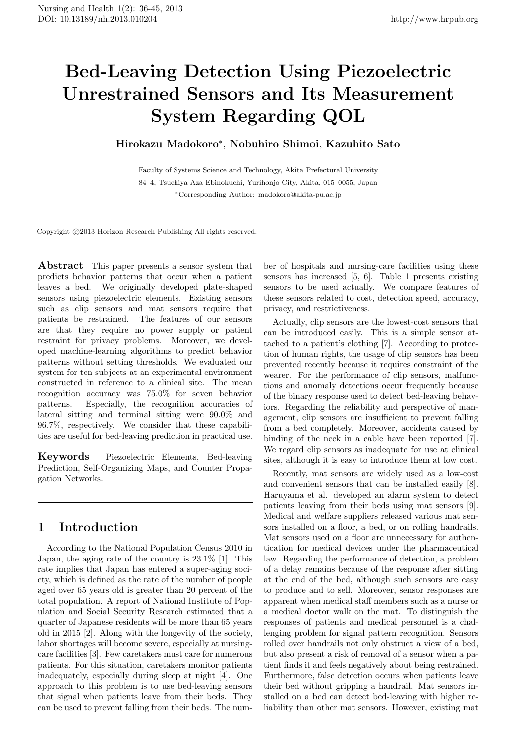# **Bed-Leaving Detection Using Piezoelectric Unrestrained Sensors and Its Measurement System Regarding QOL**

# **Hirokazu Madokoro***<sup>∗</sup>* , **Nobuhiro Shimoi**, **Kazuhito Sato**

Faculty of Systems Science and Technology, Akita Prefectural University 84–4, Tsuchiya Aza Ebinokuchi, Yurihonjo City, Akita, 015–0055, Japan *∗*Corresponding Author: madokoro@akita-pu.ac.jp

Copyright  $\odot$ 2013 Horizon Research Publishing All rights reserved.

**Abstract** This paper presents a sensor system that predicts behavior patterns that occur when a patient leaves a bed. We originally developed plate-shaped sensors using piezoelectric elements. Existing sensors such as clip sensors and mat sensors require that patients be restrained. The features of our sensors are that they require no power supply or patient restraint for privacy problems. Moreover, we developed machine-learning algorithms to predict behavior patterns without setting thresholds. We evaluated our system for ten subjects at an experimental environment constructed in reference to a clinical site. The mean recognition accuracy was 75.0% for seven behavior patterns. Especially, the recognition accuracies of lateral sitting and terminal sitting were 90.0% and 96.7%, respectively. We consider that these capabilities are useful for bed-leaving prediction in practical use.

**Keywords** Piezoelectric Elements, Bed-leaving Prediction, Self-Organizing Maps, and Counter Propagation Networks.

# **1 Introduction**

According to the National Population Census 2010 in Japan, the aging rate of the country is 23.1% [1]. This rate implies that Japan has entered a super-aging society, which is defined as the rate of the number of people aged over 65 years old is greater than 20 percent of the total population. A report of National Institute of Population and Social Security Research estimated that a quarter of Japanese residents will be more than 65 years old in 2015 [2]. Along with the longevity of the society, labor shortages will become severe, especially at nursingcare facilities [3]. Few caretakers must care for numerous patients. For this situation, caretakers monitor patients inadequately, especially during sleep at night [4]. One approach to this problem is to use bed-leaving sensors that signal when patients leave from their beds. They can be used to prevent falling from their beds. The num-

ber of hospitals and nursing-care facilities using these sensors has increased [5, 6]. Table 1 presents existing sensors to be used actually. We compare features of these sensors related to cost, detection speed, accuracy, privacy, and restrictiveness.

Actually, clip sensors are the lowest-cost sensors that can be introduced easily. This is a simple sensor attached to a patient's clothing [7]. According to protection of human rights, the usage of clip sensors has been prevented recently because it requires constraint of the wearer. For the performance of clip sensors, malfunctions and anomaly detections occur frequently because of the binary response used to detect bed-leaving behaviors. Regarding the reliability and perspective of management, clip sensors are insufficient to prevent falling from a bed completely. Moreover, accidents caused by binding of the neck in a cable have been reported [7]. We regard clip sensors as inadequate for use at clinical sites, although it is easy to introduce them at low cost.

Recently, mat sensors are widely used as a low-cost and convenient sensors that can be installed easily [8]. Haruyama et al. developed an alarm system to detect patients leaving from their beds using mat sensors [9]. Medical and welfare suppliers released various mat sensors installed on a floor, a bed, or on rolling handrails. Mat sensors used on a floor are unnecessary for authentication for medical devices under the pharmaceutical law. Regarding the performance of detection, a problem of a delay remains because of the response after sitting at the end of the bed, although such sensors are easy to produce and to sell. Moreover, sensor responses are apparent when medical staff members such as a nurse or a medical doctor walk on the mat. To distinguish the responses of patients and medical personnel is a challenging problem for signal pattern recognition. Sensors rolled over handrails not only obstruct a view of a bed, but also present a risk of removal of a sensor when a patient finds it and feels negatively about being restrained. Furthermore, false detection occurs when patients leave their bed without gripping a handrail. Mat sensors installed on a bed can detect bed-leaving with higher reliability than other mat sensors. However, existing mat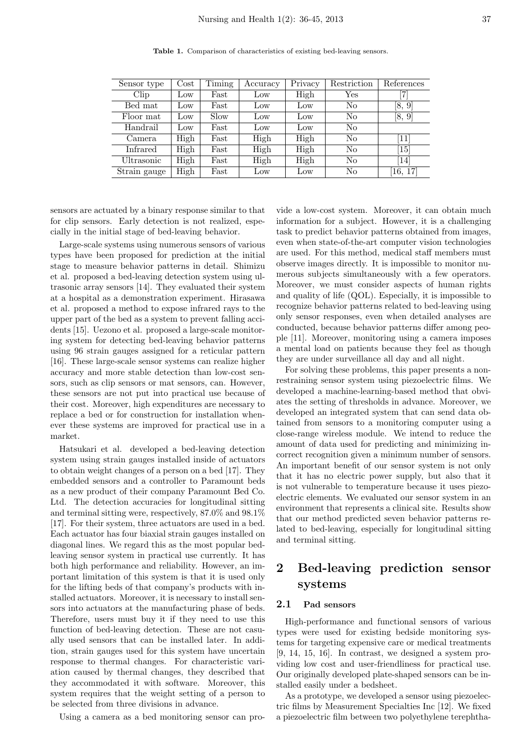| Sensor type   | $\cos t$        | Timing | Accuracy | Privacy         | Restriction    | References                    |
|---------------|-----------------|--------|----------|-----------------|----------------|-------------------------------|
| $_{\rm Clip}$ | $_{\text{Low}}$ | Fast   | Low      | High            | Yes            |                               |
| Bed mat       | Low             | Fast   | Low      | Low             | No             | [8, 9]                        |
| Floor mat     | $_{\text{Low}}$ | Slow   | Low      | Low             | N <sub>o</sub> | [8, 9]                        |
| Handrail      | Low             | Fast   | Low      | $_{\text{Low}}$ | N <sub>o</sub> |                               |
| Camera        | High            | Fast   | High     | High            | N <sub>o</sub> | 11                            |
| Infrared      | High            | Fast   | High     | High            | N <sub>o</sub> | $\left\lceil 15 \right\rceil$ |
| Ultrasonic    | High            | Fast   | High     | High            | N <sub>o</sub> | [14]                          |
| Strain gauge  | High            | Fast   | Low      | Low             | N <sub>o</sub> | [16, 17]                      |

**Table 1.** Comparison of characteristics of existing bed-leaving sensors.

sensors are actuated by a binary response similar to that for clip sensors. Early detection is not realized, especially in the initial stage of bed-leaving behavior.

Large-scale systems using numerous sensors of various types have been proposed for prediction at the initial stage to measure behavior patterns in detail. Shimizu et al. proposed a bed-leaving detection system using ultrasonic array sensors [14]. They evaluated their system at a hospital as a demonstration experiment. Hirasawa et al. proposed a method to expose infrared rays to the upper part of the bed as a system to prevent falling accidents [15]. Uezono et al. proposed a large-scale monitoring system for detecting bed-leaving behavior patterns using 96 strain gauges assigned for a reticular pattern [16]. These large-scale sensor systems can realize higher accuracy and more stable detection than low-cost sensors, such as clip sensors or mat sensors, can. However, these sensors are not put into practical use because of their cost. Moreover, high expenditures are necessary to replace a bed or for construction for installation whenever these systems are improved for practical use in a market.

Hatsukari et al. developed a bed-leaving detection system using strain gauges installed inside of actuators to obtain weight changes of a person on a bed [17]. They embedded sensors and a controller to Paramount beds as a new product of their company Paramount Bed Co. Ltd. The detection accuracies for longitudinal sitting and terminal sitting were, respectively, 87.0% and 98.1% [17]. For their system, three actuators are used in a bed. Each actuator has four biaxial strain gauges installed on diagonal lines. We regard this as the most popular bedleaving sensor system in practical use currently. It has both high performance and reliability. However, an important limitation of this system is that it is used only for the lifting beds of that company's products with installed actuators. Moreover, it is necessary to install sensors into actuators at the manufacturing phase of beds. Therefore, users must buy it if they need to use this function of bed-leaving detection. These are not casually used sensors that can be installed later. In addition, strain gauges used for this system have uncertain response to thermal changes. For characteristic variation caused by thermal changes, they described that they accommodated it with software. Moreover, this system requires that the weight setting of a person to be selected from three divisions in advance.

Using a camera as a bed monitoring sensor can pro-

vide a low-cost system. Moreover, it can obtain much information for a subject. However, it is a challenging task to predict behavior patterns obtained from images, even when state-of-the-art computer vision technologies are used. For this method, medical staff members must observe images directly. It is impossible to monitor numerous subjects simultaneously with a few operators. Moreover, we must consider aspects of human rights and quality of life (QOL). Especially, it is impossible to recognize behavior patterns related to bed-leaving using only sensor responses, even when detailed analyses are conducted, because behavior patterns differ among people [11]. Moreover, monitoring using a camera imposes a mental load on patients because they feel as though they are under surveillance all day and all night.

For solving these problems, this paper presents a nonrestraining sensor system using piezoelectric films. We developed a machine-learning-based method that obviates the setting of thresholds in advance. Moreover, we developed an integrated system that can send data obtained from sensors to a monitoring computer using a close-range wireless module. We intend to reduce the amount of data used for predicting and minimizing incorrect recognition given a minimum number of sensors. An important benefit of our sensor system is not only that it has no electric power supply, but also that it is not vulnerable to temperature because it uses piezoelectric elements. We evaluated our sensor system in an environment that represents a clinical site. Results show that our method predicted seven behavior patterns related to bed-leaving, especially for longitudinal sitting and terminal sitting.

# **2 Bed-leaving prediction sensor systems**

#### **2.1 Pad sensors**

High-performance and functional sensors of various types were used for existing bedside monitoring systems for targeting expensive care or medical treatments [9, 14, 15, 16]. In contrast, we designed a system providing low cost and user-friendliness for practical use. Our originally developed plate-shaped sensors can be installed easily under a bedsheet.

As a prototype, we developed a sensor using piezoelectric films by Measurement Specialties Inc [12]. We fixed a piezoelectric film between two polyethylene terephtha-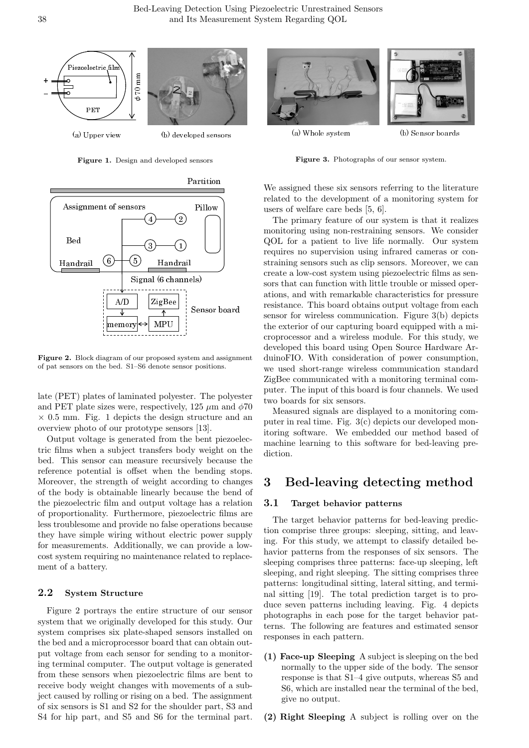

**Figure 1.** Design and developed sensors



**Figure 2.** Block diagram of our proposed system and assignment of pat sensors on the bed. S1–S6 denote sensor positions.

late (PET) plates of laminated polyester. The polyester and PET plate sizes were, respectively, 125  $\mu$ m and  $\phi$ 70 *×* 0.5 mm. Fig. 1 depicts the design structure and an overview photo of our prototype sensors [13].

Output voltage is generated from the bent piezoelectric films when a subject transfers body weight on the bed. This sensor can measure recursively because the reference potential is offset when the bending stops. Moreover, the strength of weight according to changes of the body is obtainable linearly because the bend of the piezoelectric film and output voltage has a relation of proportionality. Furthermore, piezoelectric films are less troublesome and provide no false operations because they have simple wiring without electric power supply for measurements. Additionally, we can provide a lowcost system requiring no maintenance related to replacement of a battery.

## **2.2 System Structure**

Figure 2 portrays the entire structure of our sensor system that we originally developed for this study. Our system comprises six plate-shaped sensors installed on the bed and a microprocessor board that can obtain output voltage from each sensor for sending to a monitoring terminal computer. The output voltage is generated from these sensors when piezoelectric films are bent to receive body weight changes with movements of a subject caused by rolling or rising on a bed. The assignment of six sensors is S1 and S2 for the shoulder part, S3 and S4 for hip part, and S5 and S6 for the terminal part.



**Figure 3.** Photographs of our sensor system.

We assigned these six sensors referring to the literature related to the development of a monitoring system for users of welfare care beds [5, 6].

The primary feature of our system is that it realizes monitoring using non-restraining sensors. We consider QOL for a patient to live life normally. Our system requires no supervision using infrared cameras or constraining sensors such as clip sensors. Moreover, we can create a low-cost system using piezoelectric films as sensors that can function with little trouble or missed operations, and with remarkable characteristics for pressure resistance. This board obtains output voltage from each sensor for wireless communication. Figure 3(b) depicts the exterior of our capturing board equipped with a microprocessor and a wireless module. For this study, we developed this board using Open Source Hardware ArduinoFIO. With consideration of power consumption, we used short-range wireless communication standard ZigBee communicated with a monitoring terminal computer. The input of this board is four channels. We used two boards for six sensors.

Measured signals are displayed to a monitoring computer in real time. Fig. 3(c) depicts our developed monitoring software. We embedded our method based of machine learning to this software for bed-leaving prediction.

# **3 Bed-leaving detecting method**

## **3.1 Target behavior patterns**

The target behavior patterns for bed-leaving prediction comprise three groups: sleeping, sitting, and leaving. For this study, we attempt to classify detailed behavior patterns from the responses of six sensors. The sleeping comprises three patterns: face-up sleeping, left sleeping, and right sleeping. The sitting comprises three patterns: longitudinal sitting, lateral sitting, and terminal sitting [19]. The total prediction target is to produce seven patterns including leaving. Fig. 4 depicts photographs in each pose for the target behavior patterns. The following are features and estimated sensor responses in each pattern.

- **(1) Face-up Sleeping** A subject is sleeping on the bed normally to the upper side of the body. The sensor response is that S1–4 give outputs, whereas S5 and S6, which are installed near the terminal of the bed, give no output.
- **(2) Right Sleeping** A subject is rolling over on the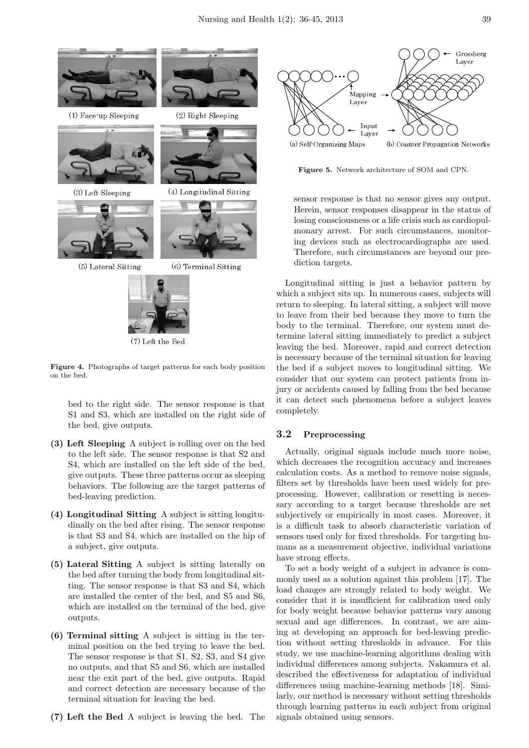

(7) Left the Bed

**Figure 4.** Photographs of target patterns for each body position on the bed.

bed to the right side. The sensor response is that S1 and S3, which are installed on the right side of the bed, give outputs.

- **(3) Left Sleeping** A subject is rolling over on the bed to the left side. The sensor response is that S2 and S4, which are installed on the left side of the bed, give outputs. These three patterns occur as sleeping behaviors. The following are the target patterns of bed-leaving prediction.
- **(4) Longitudinal Sitting** A subject is sitting longitudinally on the bed after rising. The sensor response is that S3 and S4, which are installed on the hip of a subject, give outputs.
- **(5) Lateral Sitting** A subject is sitting laterally on the bed after turning the body from longitudinal sitting. The sensor response is that S3 and S4, which are installed the center of the bed, and S5 and S6, which are installed on the terminal of the bed, give outputs.
- **(6) Terminal sitting** A subject is sitting in the terminal position on the bed trying to leave the bed. The sensor response is that S1, S2, S3, and S4 give no outputs, and that S5 and S6, which are installed near the exit part of the bed, give outputs. Rapid and correct detection are necessary because of the terminal situation for leaving the bed.
- **(7) Left the Bed** A subject is leaving the bed. The



**Figure 5.** Network architecture of SOM and CPN.

sensor response is that no sensor gives any output. Herein, sensor responses disappear in the status of losing consciousness or a life crisis such as cardiopulmonary arrest. For such circumstances, monitoring devices such as electrocardiographs are used. Therefore, such circumstances are beyond our prediction targets.

Longitudinal sitting is just a behavior pattern by which a subject sits up. In numerous cases, subjects will return to sleeping. In lateral sitting, a subject will move to leave from their bed because they move to turn the body to the terminal. Therefore, our system must determine lateral sitting immediately to predict a subject leaving the bed. Moreover, rapid and correct detection is necessary because of the terminal situation for leaving the bed if a subject moves to longitudinal sitting. We consider that our system can protect patients from injury or accidents caused by falling from the bed because it can detect such phenomena before a subject leaves completely.

### **3.2 Preprocessing**

Actually, original signals include much more noise, which decreases the recognition accuracy and increases calculation costs. As a method to remove noise signals, filters set by thresholds have been used widely for preprocessing. However, calibration or resetting is necessary according to a target because thresholds are set subjectively or empirically in most cases. Moreover, it is a difficult task to absorb characteristic variation of sensors used only for fixed thresholds. For targeting humans as a measurement objective, individual variations have strong effects.

To set a body weight of a subject in advance is commonly used as a solution against this problem [17]. The load changes are strongly related to body weight. We consider that it is insufficient for calibration used only for body weight because behavior patterns vary among sexual and age differences. In contrast, we are aiming at developing an approach for bed-leaving prediction without setting thresholds in advance. For this study, we use machine-learning algorithms dealing with individual differences among subjects. Nakamura et al. described the effectiveness for adaptation of individual differences using machine-learning methods [18]. Similarly, our method is necessary without setting thresholds through learning patterns in each subject from original signals obtained using sensors.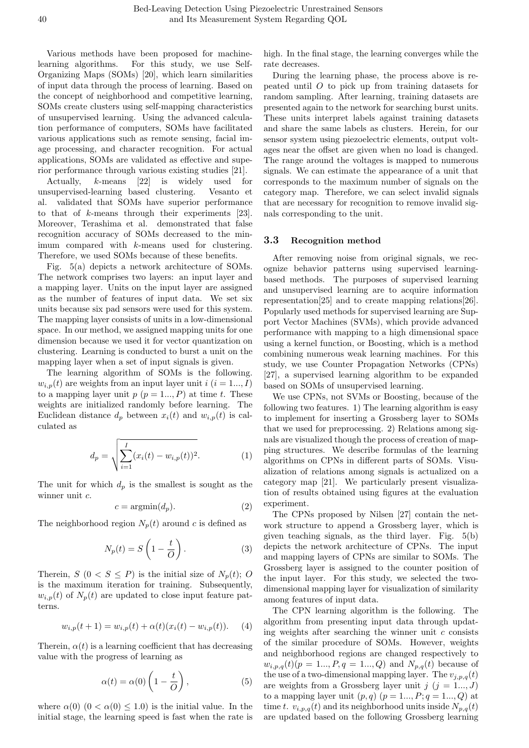Various methods have been proposed for machinelearning algorithms. For this study, we use Self-Organizing Maps (SOMs) [20], which learn similarities of input data through the process of learning. Based on the concept of neighborhood and competitive learning, SOMs create clusters using self-mapping characteristics of unsupervised learning. Using the advanced calculation performance of computers, SOMs have facilitated various applications such as remote sensing, facial image processing, and character recognition. For actual applications, SOMs are validated as effective and superior performance through various existing studies [21].

Actually, *k*-means [22] is widely used for unsupervised-learning based clustering. Vesanto et al. validated that SOMs have superior performance to that of *k*-means through their experiments [23]. Moreover, Terashima et al. demonstrated that false recognition accuracy of SOMs decreased to the minimum compared with *k*-means used for clustering. Therefore, we used SOMs because of these benefits.

Fig. 5(a) depicts a network architecture of SOMs. The network comprises two layers: an input layer and a mapping layer. Units on the input layer are assigned as the number of features of input data. We set six units because six pad sensors were used for this system. The mapping layer consists of units in a low-dimensional space. In our method, we assigned mapping units for one dimension because we used it for vector quantization on clustering. Learning is conducted to burst a unit on the mapping layer when a set of input signals is given.

The learning algorithm of SOMs is the following.  $w_{i,p}(t)$  are weights from an input layer unit  $i$  ( $i = 1...$ , *I*) to a mapping layer unit  $p (p = 1, ..., P)$  at time *t*. These weights are initialized randomly before learning. The Euclidean distance  $d_p$  between  $x_i(t)$  and  $w_{i,p}(t)$  is calculated as

$$
d_p = \sqrt{\sum_{i=1}^{I} (x_i(t) - w_{i,p}(t))^2}.
$$
 (1)

The unit for which  $d_p$  is the smallest is sought as the winner unit *c*.

$$
c = \operatorname{argmin}(d_p). \tag{2}
$$

The neighborhood region  $N_p(t)$  around *c* is defined as

$$
N_p(t) = S\left(1 - \frac{t}{O}\right). \tag{3}
$$

Therein,  $S$  ( $0 < S \leq P$ ) is the initial size of  $N_p(t)$ ; O is the maximum iteration for training. Subsequently,  $w_{i,p}(t)$  of  $N_p(t)$  are updated to close input feature patterns.

$$
w_{i,p}(t+1) = w_{i,p}(t) + \alpha(t)(x_i(t) - w_{i,p}(t)).
$$
 (4)

Therein,  $\alpha(t)$  is a learning coefficient that has decreasing value with the progress of learning as

$$
\alpha(t) = \alpha(0) \left( 1 - \frac{t}{O} \right),\tag{5}
$$

where  $\alpha(0)$   $(0 < \alpha(0) \leq 1.0)$  is the initial value. In the initial stage, the learning speed is fast when the rate is

high. In the final stage, the learning converges while the rate decreases.

During the learning phase, the process above is repeated until *O* to pick up from training datasets for random sampling. After learning, training datasets are presented again to the network for searching burst units. These units interpret labels against training datasets and share the same labels as clusters. Herein, for our sensor system using piezoelectric elements, output voltages near the offset are given when no load is changed. The range around the voltages is mapped to numerous signals. We can estimate the appearance of a unit that corresponds to the maximum number of signals on the category map. Therefore, we can select invalid signals that are necessary for recognition to remove invalid signals corresponding to the unit.

## **3.3 Recognition method**

After removing noise from original signals, we recognize behavior patterns using supervised learningbased methods. The purposes of supervised learning and unsupervised learning are to acquire information representation[25] and to create mapping relations[26]. Popularly used methods for supervised learning are Support Vector Machines (SVMs), which provide advanced performance with mapping to a high dimensional space using a kernel function, or Boosting, which is a method combining numerous weak learning machines. For this study, we use Counter Propagation Networks (CPNs) [27], a supervised learning algorithm to be expanded based on SOMs of unsupervised learning.

We use CPNs, not SVMs or Boosting, because of the following two features. 1) The learning algorithm is easy to implement for inserting a Grossberg layer to SOMs that we used for preprocessing. 2) Relations among signals are visualized though the process of creation of mapping structures. We describe formulas of the learning algorithms on CPNs in different parts of SOMs. Visualization of relations among signals is actualized on a category map [21]. We particularly present visualization of results obtained using figures at the evaluation experiment.

The CPNs proposed by Nilsen [27] contain the network structure to append a Grossberg layer, which is given teaching signals, as the third layer. Fig. 5(b) depicts the network architecture of CPNs. The input and mapping layers of CPNs are similar to SOMs. The Grossberg layer is assigned to the counter position of the input layer. For this study, we selected the twodimensional mapping layer for visualization of similarity among features of input data.

The CPN learning algorithm is the following. The algorithm from presenting input data through updating weights after searching the winner unit *c* consists of the similar procedure of SOMs. However, weights and neighborhood regions are changed respectively to  $w_{i,p,q}(t)$ ( $p = 1...$ ,  $P, q = 1...$ ,  $Q$ ) and  $N_{p,q}(t)$  because of the use of a two-dimensional mapping layer. The  $v_{i,p,q}(t)$ are weights from a Grossberg layer unit  $j$  ( $j = 1..., J$ ) to a mapping layer unit  $(p, q)$   $(p = 1..., P; q = 1..., Q)$  at time *t*.  $v_{i,p,q}(t)$  and its neighborhood units inside  $N_{p,q}(t)$ are updated based on the following Grossberg learning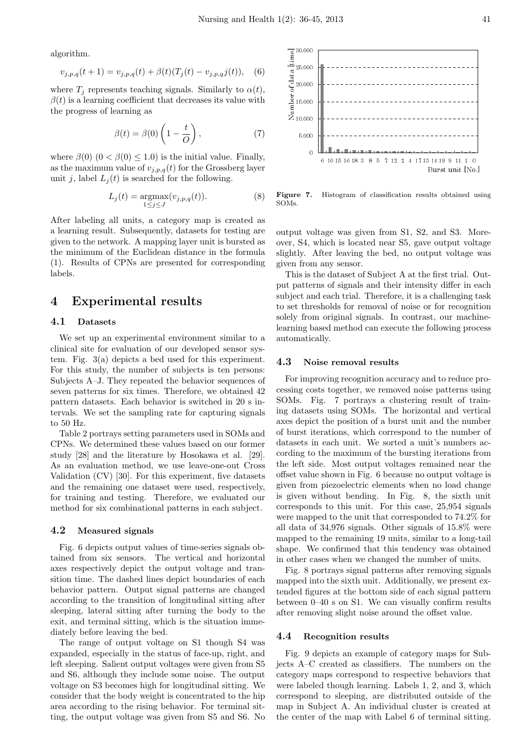algorithm.

$$
v_{j,p,q}(t+1) = v_{j,p,q}(t) + \beta(t)(T_j(t) - v_{j,p,q}(t)), \quad (6)
$$

where  $T_j$  represents teaching signals. Similarly to  $\alpha(t)$ ,  $\beta(t)$  is a learning coefficient that decreases its value with the progress of learning as

$$
\beta(t) = \beta(0) \left( 1 - \frac{t}{O} \right),\tag{7}
$$

where  $\beta(0)$   $(0 < \beta(0) \leq 1.0)$  is the initial value. Finally, as the maximum value of  $v_{j,p,q}(t)$  for the Grossberg layer unit *j*, label  $L<sub>j</sub>(t)$  is searched for the following.

$$
L_j(t) = \underset{1 \le j \le J}{\text{argmax}}(v_{j,p,q}(t)).
$$
 (8)

After labeling all units, a category map is created as a learning result. Subsequently, datasets for testing are given to the network. A mapping layer unit is bursted as the minimum of the Euclidean distance in the formula (1). Results of CPNs are presented for corresponding labels.

# **4 Experimental results**

#### **4.1 Datasets**

We set up an experimental environment similar to a clinical site for evaluation of our developed sensor system. Fig. 3(a) depicts a bed used for this experiment. For this study, the number of subjects is ten persons: Subjects A–J. They repeated the behavior sequences of seven patterns for six times. Therefore, we obtained 42 pattern datasets. Each behavior is switched in 20 s intervals. We set the sampling rate for capturing signals to 50 Hz.

Table 2 portrays setting parameters used in SOMs and CPNs. We determined these values based on our former study [28] and the literature by Hosokawa et al. [29]. As an evaluation method, we use leave-one-out Cross Validation (CV) [30]. For this experiment, five datasets and the remaining one dataset were used, respectively, for training and testing. Therefore, we evaluated our method for six combinational patterns in each subject.

#### **4.2 Measured signals**

Fig. 6 depicts output values of time-series signals obtained from six sensors. The vertical and horizontal axes respectively depict the output voltage and transition time. The dashed lines depict boundaries of each behavior pattern. Output signal patterns are changed according to the transition of longitudinal sitting after sleeping, lateral sitting after turning the body to the exit, and terminal sitting, which is the situation immediately before leaving the bed.

The range of output voltage on S1 though S4 was expanded, especially in the status of face-up, right, and left sleeping. Salient output voltages were given from S5 and S6, although they include some noise. The output voltage on S3 becomes high for longitudinal sitting. We consider that the body weight is concentrated to the hip area according to the rising behavior. For terminal sitting, the output voltage was given from S5 and S6. No



**Figure 7.** Histogram of classification results obtained using SOMs.

output voltage was given from S1, S2, and S3. Moreover, S4, which is located near S5, gave output voltage slightly. After leaving the bed, no output voltage was given from any sensor.

This is the dataset of Subject A at the first trial. Output patterns of signals and their intensity differ in each subject and each trial. Therefore, it is a challenging task to set thresholds for removal of noise or for recognition solely from original signals. In contrast, our machinelearning based method can execute the following process automatically.

#### **4.3 Noise removal results**

For improving recognition accuracy and to reduce processing costs together, we removed noise patterns using SOMs. Fig. 7 portrays a clustering result of training datasets using SOMs. The horizontal and vertical axes depict the position of a burst unit and the number of burst iterations, which correspond to the number of datasets in each unit. We sorted a unit's numbers according to the maximum of the bursting iterations from the left side. Most output voltages remained near the offset value shown in Fig. 6 because no output voltage is given from piezoelectric elements when no load change is given without bending. In Fig. 8, the sixth unit corresponds to this unit. For this case, 25,954 signals were mapped to the unit that corresponded to 74.2% for all data of 34,976 signals. Other signals of 15.8% were mapped to the remaining 19 units, similar to a long-tail shape. We confirmed that this tendency was obtained in other cases when we changed the number of units.

Fig. 8 portrays signal patterns after removing signals mapped into the sixth unit. Additionally, we present extended figures at the bottom side of each signal pattern between 0–40 s on S1. We can visually confirm results after removing slight noise around the offset value.

#### **4.4 Recognition results**

Fig. 9 depicts an example of category maps for Subjects A–C created as classifiers. The numbers on the category maps correspond to respective behaviors that were labeled though learning. Labels 1, 2, and 3, which correspond to sleeping, are distributed outside of the map in Subject A. An individual cluster is created at the center of the map with Label 6 of terminal sitting.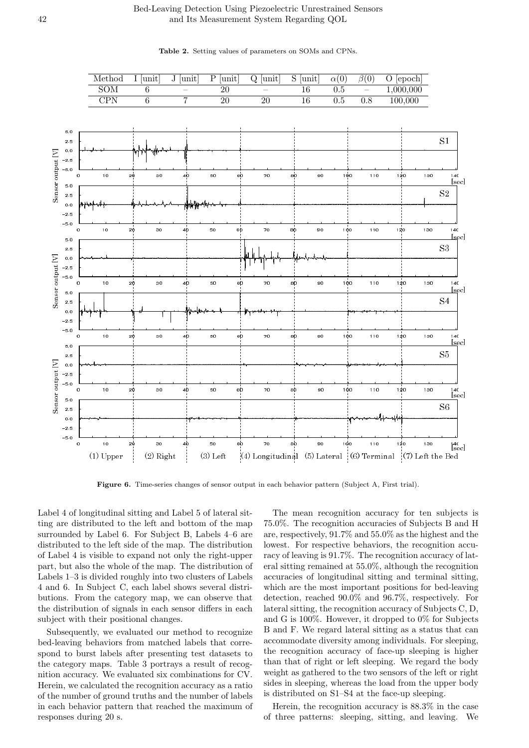## Bed-Leaving Detection Using Piezoelectric Unrestrained Sensors and Its Measurement System Regarding QOL

 $\text{SOM} \qquad 6 \qquad - \qquad 20 \qquad - \qquad 16 \qquad 0.5 \qquad - \qquad 1,000,000$ CPN 6 7 20 20 16 0.5 0.8 100,000 -5.0 -2.5 0.0 2.5 5.0 0 10 20 30 40 50 60 70 80 90 100 110 120 130 140  $-5.0$  $-2.5$ 0.0 2.5 5.0 0 10 20 30 40 50 60 70 80 90 100 110 120 130 140 -5.0 -2.5 0.0 2.5 5.0 0 10 20 30 40 50 60 70 80 90 100 110 120 130 140  $-5.0$ -2.5 0.0 2.5 5.0 0 10 20 30 40 50 60 70 80 90 100 110 120 130 140 -5.0 -2.5 0.0 2.5 5.0 0 10 20 30 40 50 60 70 80 90 100 110 120 130 140  $-5.0$ -2.5 0.0 2.5 5.0 0 10 20 30 40 50 60 70 80 90 100 110 120 130 140  $S<sub>1</sub>$  $S<sub>2</sub>$ S<sub>3</sub> S<sub>4</sub> S<sub>5</sub>  $S6$  $(1)$  Upper  $(2)$  R ight (3) Left  $(4)$  Longitudinal (5) Lateral  $(6)$  Terminal  $(7)$  Left the Bed lsecl -<br>Isecl [sec] [sec] [sec] [sec] -  -  - 

**Table 2.** Setting values of parameters on SOMs and CPNs.

Method I  $\boxed{\text{unit}}$  J  $\boxed{\text{unit}}$  P  $\boxed{\text{unit}}$  Q  $\boxed{\text{unit}}$  S  $\boxed{\text{unit}}$  *a*(0) *β*(0) O  $\boxed{\text{epoch}}$ 

**Figure 6.** Time-series changes of sensor output in each behavior pattern (Subject A, First trial).

Label 4 of longitudinal sitting and Label 5 of lateral sitting are distributed to the left and bottom of the map surrounded by Label 6. For Subject B, Labels 4–6 are distributed to the left side of the map. The distribution of Label 4 is visible to expand not only the right-upper part, but also the whole of the map. The distribution of Labels 1–3 is divided roughly into two clusters of Labels 4 and 6. In Subject C, each label shows several distributions. From the category map, we can observe that the distribution of signals in each sensor differs in each subject with their positional changes.

Subsequently, we evaluated our method to recognize bed-leaving behaviors from matched labels that correspond to burst labels after presenting test datasets to the category maps. Table 3 portrays a result of recognition accuracy. We evaluated six combinations for CV. Herein, we calculated the recognition accuracy as a ratio of the number of ground truths and the number of labels in each behavior pattern that reached the maximum of responses during 20 s.

The mean recognition accuracy for ten subjects is 75.0%. The recognition accuracies of Subjects B and H are, respectively, 91.7% and 55.0% as the highest and the lowest. For respective behaviors, the recognition accuracy of leaving is 91.7%. The recognition accuracy of lateral sitting remained at 55.0%, although the recognition accuracies of longitudinal sitting and terminal sitting, which are the most important positions for bed-leaving detection, reached 90.0% and 96.7%, respectively. For lateral sitting, the recognition accuracy of Subjects C, D, and G is 100%. However, it dropped to 0% for Subjects B and F. We regard lateral sitting as a status that can accommodate diversity among individuals. For sleeping, the recognition accuracy of face-up sleeping is higher than that of right or left sleeping. We regard the body weight as gathered to the two sensors of the left or right sides in sleeping, whereas the load from the upper body is distributed on S1–S4 at the face-up sleeping.

Herein, the recognition accuracy is 88.3% in the case of three patterns: sleeping, sitting, and leaving. We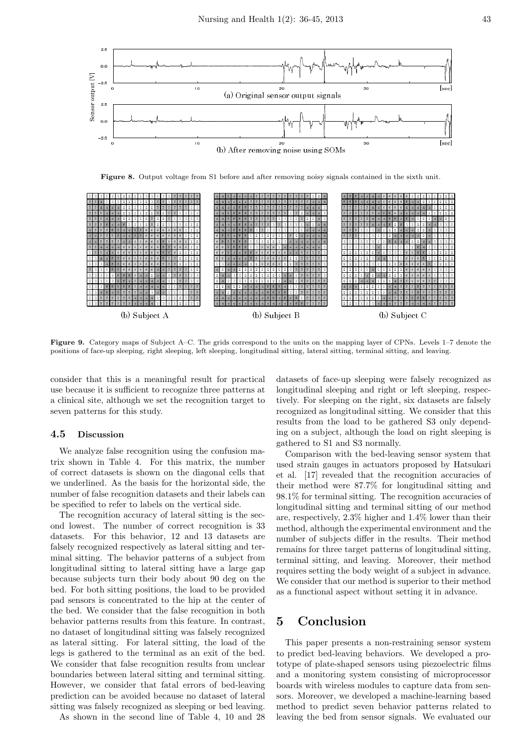

**Figure 8.** Output voltage from S1 before and after removing noisy signals contained in the sixth unit.



**Figure 9.** Category maps of Subject A–C. The grids correspond to the units on the mapping layer of CPNs. Levels 1–7 denote the positions of face-up sleeping, right sleeping, left sleeping, longitudinal sitting, lateral sitting, terminal sitting, and leaving.

consider that this is a meaningful result for practical use because it is sufficient to recognize three patterns at a clinical site, although we set the recognition target to seven patterns for this study.

## **4.5 Discussion**

We analyze false recognition using the confusion matrix shown in Table 4. For this matrix, the number of correct datasets is shown on the diagonal cells that we underlined. As the basis for the horizontal side, the number of false recognition datasets and their labels can be specified to refer to labels on the vertical side.

The recognition accuracy of lateral sitting is the second lowest. The number of correct recognition is 33 datasets. For this behavior, 12 and 13 datasets are falsely recognized respectively as lateral sitting and terminal sitting. The behavior patterns of a subject from longitudinal sitting to lateral sitting have a large gap because subjects turn their body about 90 deg on the bed. For both sitting positions, the load to be provided pad sensors is concentrated to the hip at the center of the bed. We consider that the false recognition in both behavior patterns results from this feature. In contrast, no dataset of longitudinal sitting was falsely recognized as lateral sitting. For lateral sitting, the load of the legs is gathered to the terminal as an exit of the bed. We consider that false recognition results from unclear boundaries between lateral sitting and terminal sitting. However, we consider that fatal errors of bed-leaving prediction can be avoided because no dataset of lateral sitting was falsely recognized as sleeping or bed leaving.

As shown in the second line of Table 4, 10 and 28

datasets of face-up sleeping were falsely recognized as longitudinal sleeping and right or left sleeping, respectively. For sleeping on the right, six datasets are falsely recognized as longitudinal sitting. We consider that this results from the load to be gathered S3 only depending on a subject, although the load on right sleeping is gathered to S1 and S3 normally.

Comparison with the bed-leaving sensor system that used strain gauges in actuators proposed by Hatsukari et al. [17] revealed that the recognition accuracies of their method were 87.7% for longitudinal sitting and 98.1% for terminal sitting. The recognition accuracies of longitudinal sitting and terminal sitting of our method are, respectively, 2.3% higher and 1.4% lower than their method, although the experimental environment and the number of subjects differ in the results. Their method remains for three target patterns of longitudinal sitting, terminal sitting, and leaving. Moreover, their method requires setting the body weight of a subject in advance. We consider that our method is superior to their method as a functional aspect without setting it in advance.

# **5 Conclusion**

This paper presents a non-restraining sensor system to predict bed-leaving behaviors. We developed a prototype of plate-shaped sensors using piezoelectric films and a monitoring system consisting of microprocessor boards with wireless modules to capture data from sensors. Moreover, we developed a machine-learning based method to predict seven behavior patterns related to leaving the bed from sensor signals. We evaluated our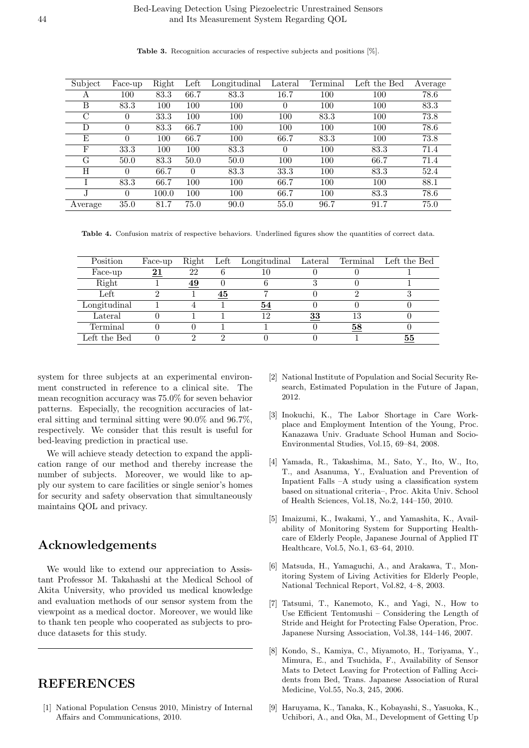| Subject | Face-up  | Right | Left     | Longitudinal | Lateral  | Terminal | Left the Bed | Average |
|---------|----------|-------|----------|--------------|----------|----------|--------------|---------|
| A       | 100      | 83.3  | 66.7     | 83.3         | 16.7     | 100      | 100          | 78.6    |
| Β       | 83.3     | 100   | 100      | 100          | $\theta$ | 100      | 100          | 83.3    |
| C       | $\Omega$ | 33.3  | 100      | 100          | 100      | 83.3     | 100          | 73.8    |
| D       | $\Omega$ | 83.3  | 66.7     | 100          | 100      | 100      | 100          | 78.6    |
| E       | $\left($ | 100   | 66.7     | 100          | 66.7     | 83.3     | 100          | 73.8    |
| F       | 33.3     | 100   | 100      | 83.3         | $\Omega$ | 100      | 83.3         | 71.4    |
| G       | 50.0     | 83.3  | 50.0     | 50.0         | 100      | 100      | 66.7         | 71.4    |
| Η       | $\theta$ | 66.7  | $\Omega$ | 83.3         | 33.3     | 100      | 83.3         | 52.4    |
|         | 83.3     | 66.7  | 100      | 100          | 66.7     | 100      | 100          | 88.1    |
|         | $\left($ | 100.0 | 100      | 100          | 66.7     | 100      | 83.3         | 78.6    |
| Average | 35.0     | 81.7  | 75.0     | 90.0         | 55.0     | 96.7     | 91.7         | 75.0    |

**Table 3.** Recognition accuracies of respective subjects and positions [%].

**Table 4.** Confusion matrix of respective behaviors. Underlined figures show the quantities of correct data.

| Position     | Face-up         | Right     |    | Left Longitudinal Lateral |    |    | Terminal Left the Bed |
|--------------|-----------------|-----------|----|---------------------------|----|----|-----------------------|
| Face-up      | $\overline{21}$ | 22        |    | 10                        |    |    |                       |
| Right        |                 | <u>49</u> |    |                           |    |    |                       |
| Left         |                 |           | 45 |                           |    |    |                       |
| Longitudinal |                 |           |    | $\overline{54}$           |    |    |                       |
| Lateral      |                 |           |    | 12                        | 33 | 13 |                       |
| Terminal     |                 |           |    |                           |    | 58 |                       |
| Left the Bed |                 |           |    |                           |    |    | 55                    |

system for three subjects at an experimental environment constructed in reference to a clinical site. The mean recognition accuracy was 75.0% for seven behavior patterns. Especially, the recognition accuracies of lateral sitting and terminal sitting were 90.0% and 96.7%, respectively. We consider that this result is useful for bed-leaving prediction in practical use.

We will achieve steady detection to expand the application range of our method and thereby increase the number of subjects. Moreover, we would like to apply our system to care facilities or single senior's homes for security and safety observation that simultaneously maintains QOL and privacy.

# **Acknowledgements**

We would like to extend our appreciation to Assistant Professor M. Takahashi at the Medical School of Akita University, who provided us medical knowledge and evaluation methods of our sensor system from the viewpoint as a medical doctor. Moreover, we would like to thank ten people who cooperated as subjects to produce datasets for this study.

# **REFERENCES**

[1] National Population Census 2010, Ministry of Internal Affairs and Communications, 2010.

- [2] National Institute of Population and Social Security Research, Estimated Population in the Future of Japan, 2012.
- [3] Inokuchi, K., The Labor Shortage in Care Workplace and Employment Intention of the Young, Proc. Kanazawa Univ. Graduate School Human and Socio-Environmental Studies, Vol.15, 69–84, 2008.
- [4] Yamada, R., Takashima, M., Sato, Y., Ito, W., Ito, T., and Asanuma, Y., Evaluation and Prevention of Inpatient Falls –A study using a classification system based on situational criteria–, Proc. Akita Univ. School of Health Sciences, Vol.18, No.2, 144–150, 2010.
- [5] Imaizumi, K., Iwakami, Y., and Yamashita, K., Availability of Monitoring System for Supporting Healthcare of Elderly People, Japanese Journal of Applied IT Healthcare, Vol.5, No.1, 63–64, 2010.
- [6] Matsuda, H., Yamaguchi, A., and Arakawa, T., Monitoring System of Living Activities for Elderly People, National Technical Report, Vol.82, 4–8, 2003.
- [7] Tatsumi, T., Kanemoto, K., and Yagi, N., How to Use Efficient Tentomushi – Considering the Length of Stride and Height for Protecting False Operation, Proc. Japanese Nursing Association, Vol.38, 144–146, 2007.
- [8] Kondo, S., Kamiya, C., Miyamoto, H., Toriyama, Y., Mimura, E., and Tsuchida, F., Availability of Sensor Mats to Detect Leaving for Protection of Falling Accidents from Bed, Trans. Japanese Association of Rural Medicine, Vol.55, No.3, 245, 2006.
- [9] Haruyama, K., Tanaka, K., Kobayashi, S., Yasuoka, K., Uchibori, A., and Oka, M., Development of Getting Up